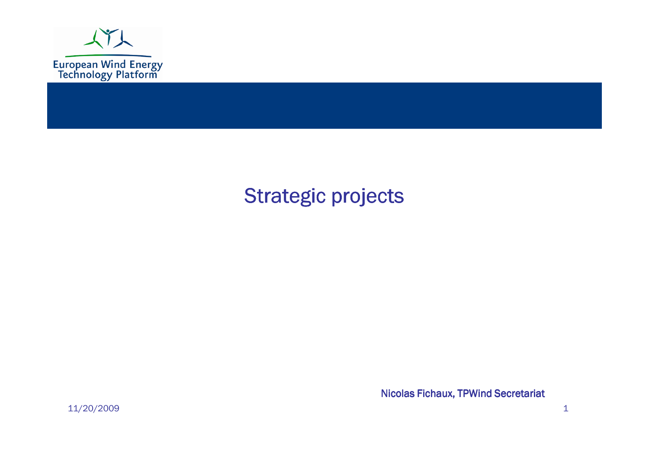

#### Strategic projects

Nicolas Fichaux, TPWind Secretariat

11/20/2009 $9 \t 1$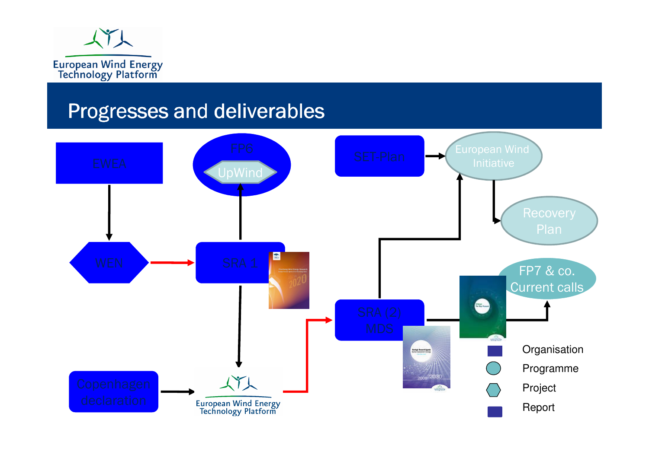

#### Progresses and deliverables

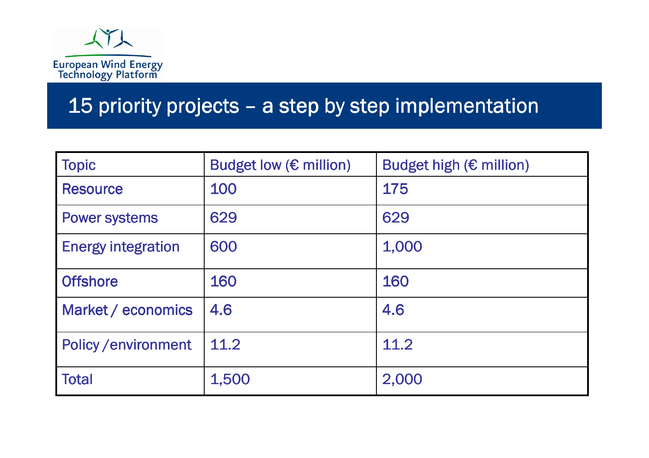

# 15 priority projects – a step by step implementation

| <b>Topic</b>              | Budget low $(\epsilon$ million) | Budget high (€ million) |
|---------------------------|---------------------------------|-------------------------|
| <b>Resource</b>           | 100                             | 175                     |
| <b>Power systems</b>      | 629                             | 629                     |
| <b>Energy integration</b> | 600                             | 1,000                   |
| <b>Offshore</b>           | 160                             | 160                     |
| Market / economics        | 4.6                             | 4.6                     |
| <b>Policy/environment</b> | 11.2                            | 11.2                    |
| <b>Total</b>              | 1,500                           | 2,000                   |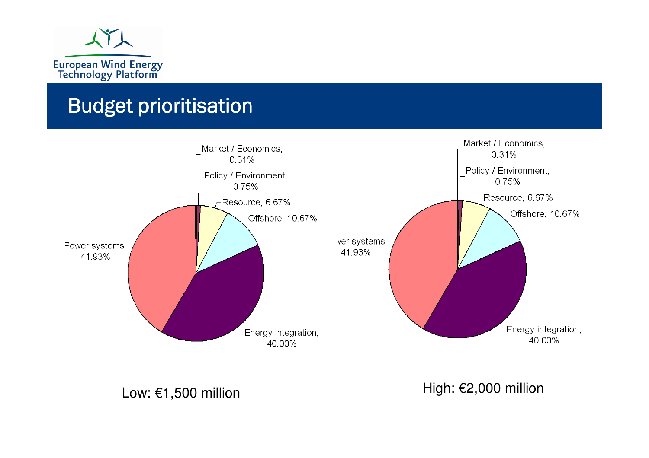

#### Budget prioritisation



Low: €1,500 million

High: €2,000 million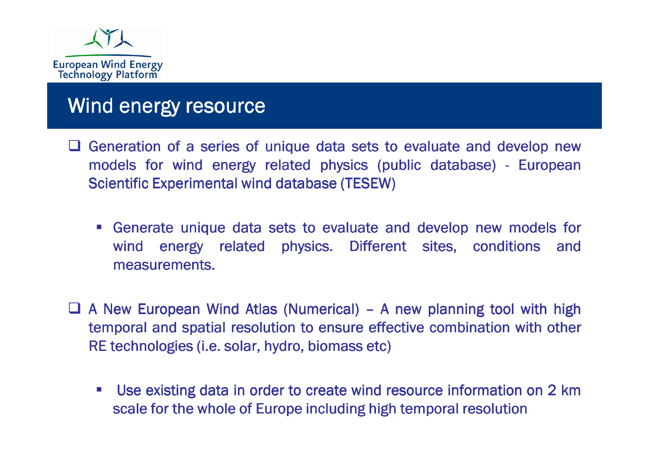

#### Wind energy resource

- Generation of a series of unique data sets to evaluate and develop new<br>models for wind energy related physics (public database) European models for wind energy related physics (public database) - European Scientific Experimental wind database (TESEW)
	- **Example 10 Figure 10 Figure 10 Figure 10 Figure 2016** Contract and develop new models for wind energy related physics. Different sites, conditions and measurements.
- $\Box$  A New European Wind Atlas (Numerical) A new planning tool with high<br>temporal and spatial resolution to ensure effective combination with other temporal and spatial resolution to ensure effective combination with other RE technologies (i.e. solar, hydro, biomass etc)
	- Use existing data in order to create wind resource information on 2 km scale for the whole of Europe including high temporal resolution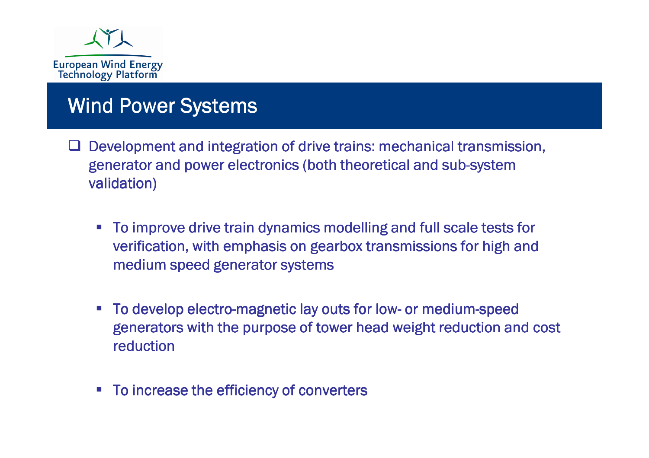

#### Wind Power Systems

- Development and integration of drive trains: mechanical transmission,<br>Separator and nower electronies (both theoretical and sub system generator and power electronics (both theoretical and sub-system validation)
	- To improve drive train dynamics modelling and full scale tests for verification, with emphasis on gearbox transmissions for high and medium speed generator systems
	- To develop electro-magnetic lay outs for low- or medium-speed<br>Generators with the nurnose of tower head weight reduction and generators with the purpose of tower head weight reduction and cost reduction
	- -To increase the efficiency of converters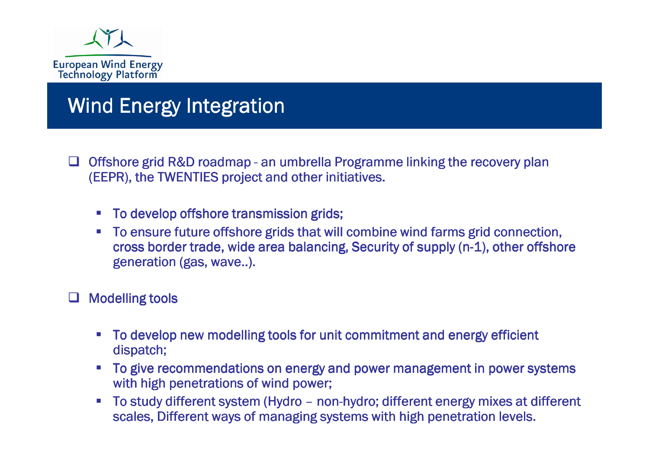

#### Wind Energy Integration

- $\Box$  Offshore grid R&D roadmap an umbrella Programme linking the recovery plan (FFPR), the TWFNTIFS project and other initiatives. (EEPR), the TWENTIES project and other initiatives.
	- To develop offshore transmission grids;
	- To ensure future offshore grids that will combine wind farms grid connection, cross border trade, wide area balancing, Security of supply (n-1), other offshore generation (gas, wave..).

### $\Box$  Modelling tools

- **To develop new modelling tools for unit commitment and energy efficient** dispatch;
- To give recommendations on energy and power management in power systems with high penetrations of wind power;
- To study different system (Hydro non-hydro; different energy mixes at different<br>scales. Different ways of managing systems with high penetration levels. scales, Different ways of managing systems with high penetration levels.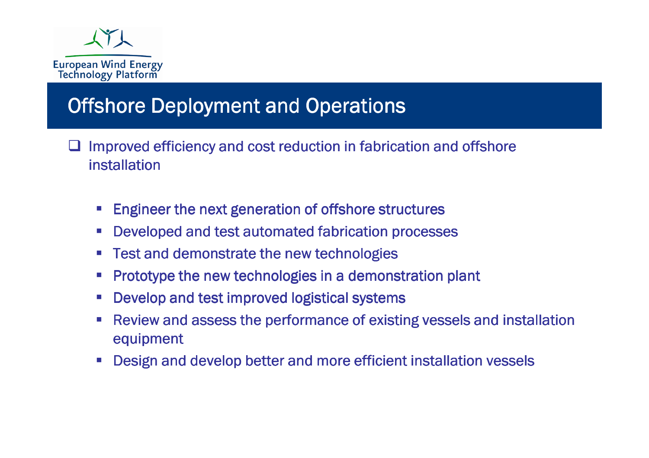

#### **Offshore Deployment and Operations**

- $\Box$  Improved efficiency and cost reduction in fabrication and offshore installation
	- $\mathcal{L}_{\mathcal{A}}$ Engineer the next generation of offshore structures
	- Developed and test automated fabrication processes
	- Test and demonstrate the new technologies
	- Prototype the new technologies in a demonstration plant
	- Develop and test improved logistical systems
	- Review and assess the performance of existing vessels and installation equipment
	- Design and develop better and more efficient installation vessels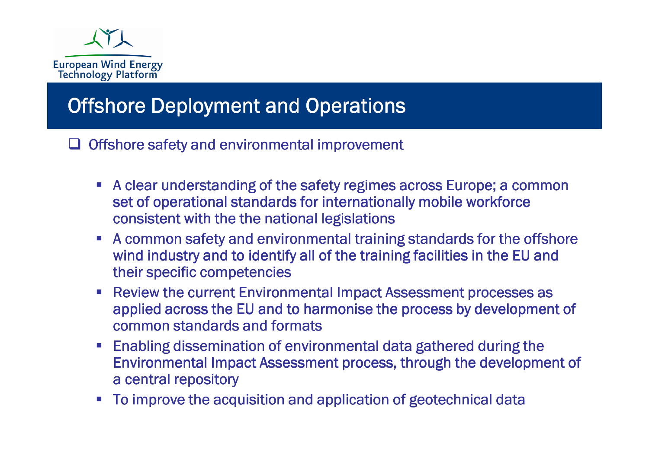

#### Offshore Deployment and Operations

 $\Box$  Offshore safety and environmental improvement

- A clear understanding of the safety regimes across Europe; a common set of operational standards for internationally mobile workforce consistent with the the national legislations
- A common safety and environmental training standards for the offshore wind industry and to identify all of the training facilities in the EU and their specific competencies
- Review the current Environmental Impact Assessment processes as applied across the EU and to harmonise the process by development of common standards and formats
- Enabling dissemination of environmental data gathered during the Environmental Impact Assessment process, through the development of a central repository
- To improve the acquisition and application of geotechnical data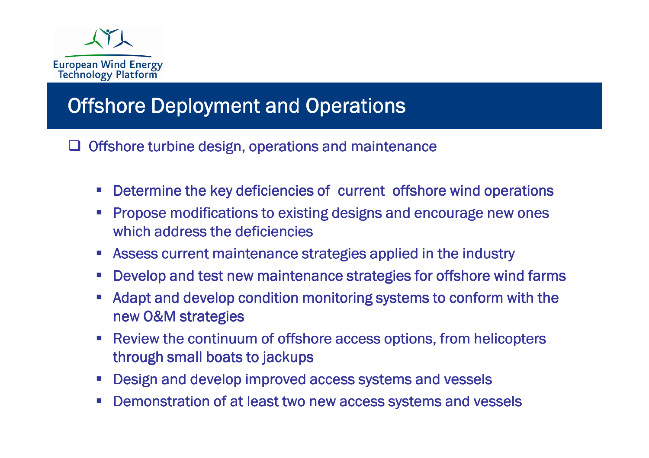

#### Offshore Deployment and Operations

 $\Box$  Offshore turbine design, operations and maintenance

- **Determine the key deficiencies of current offshore wind operations**
- Propose modifications to existing designs and encourage new ones which address the deficiencies
- **EXTENCE CONTAINT MAINTER IS ASSESS CUTTENT MAINTENANCE STATES:** Assess current maintenance strategies applied in the industry
- **Develop and test new maintenance strategies for offshore wind farms**
- Adapt and develop condition monitoring systems to conform with the new O&M strategies
- Review the continuum of offshore access options, from helicopters through small boats to jackups
- **Design and develop improved access systems and vessels**
- -Demonstration of at least two new access systems and vessels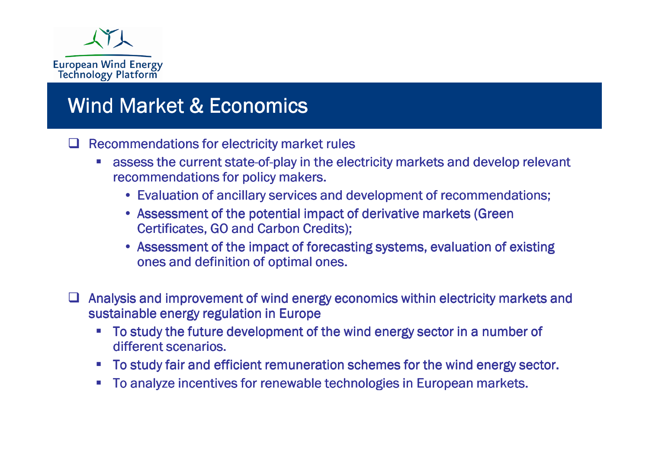

#### Wind Market & Economics

#### $\Box$  Recommendations for electricity market rules

- **assess the current state-of-play in the electricity markets and develop relevant in the electricity markets and develop relevant** recommendations for policy makers.
	- Evaluation of ancillary services and development of recommendations;<br>• Assessment of the petential impact of derivative markets (Green
	- Assessment of the potential impact of derivative markets (Green  $\overline{\text{Certifications}}$  . Certificates, GO and Carbon Credits);
	- Assessment of the impact of forecasting systems, evaluation of existing ones and definition of optimal ones. ones and definition of optimal ones.
- $\Box$  Analysis and improvement of wind energy economics within electricity markets and<br>sustainable energy regulation in Europe sustainable energy regulation in Europe
	- To study the future development of the wind energy sector in a number of different scenarios.
	- To study fair and efficient remuneration schemes for the wind energy sector.
	- To analyze incentives for renewable technologies in European markets.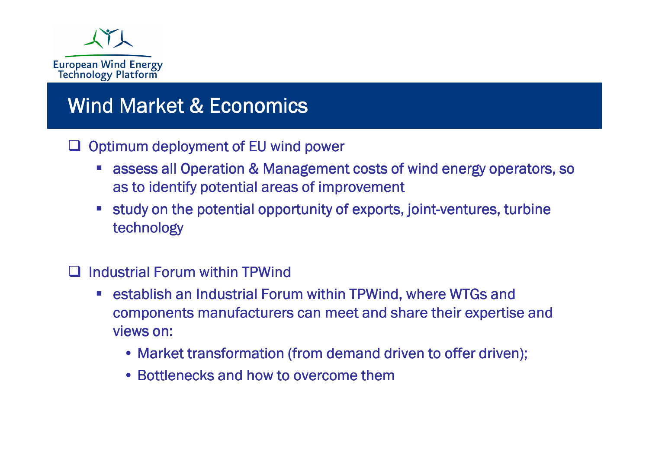

#### Wind Market & Economics

# Optimum deployment of EU wind power

- assess all Operation & Management costs of wind energy operators, so as to identify potential areas of improvement
- **Study on the potential opportunity of exports, joint-ventures, turbine** technology
- **Q** Industrial Forum within TPWind
	- **Exercise 1 and Industrial Forum within TPWind, where WTGs and** components manufacturers can meet and share their expertise and views on:
		- Market transformation (from demand driven to offer driven);<br>. Dettlereals and hav to susreame them
		- Bottlenecks and how to overcome them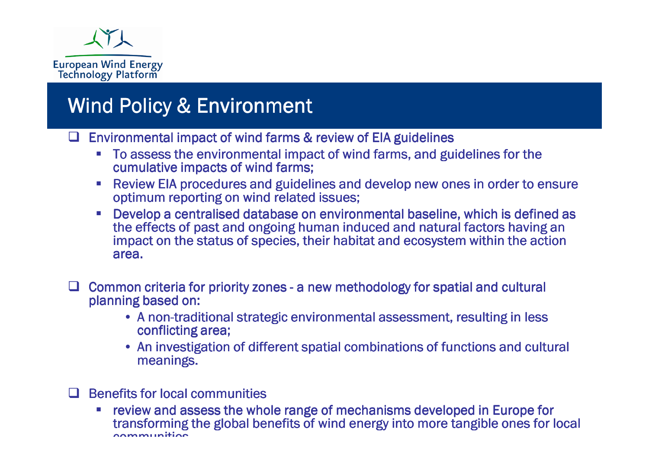

#### Wind Policy & Environment

Environmental impact of wind farms & review of EIA guidelines

- To assess the environmental impact of wind farms, and guidelines for the cumulative impacts of wind farms;
- **EXECTE AFFORTHER** PROCEDURES and guidelines and develop new ones in order to ensure optimum reporting on wind related issues;
- - Develop a centralised database on environmental baseline, which is defined as the effects of past and ongoing human induced and natural factors having an impact on the status of species, their habitat and ecosystem within the action area.
- $\Box$  Common criteria for priority zones a new methodology for spatial and cultural planning based on: planning based on:
	- A non-traditional strategic environmental assessment, resulting in less<br>conflicting area: conflicting area;
	- An investigation of different spatial combinations of functions and cultural<br>meanings. meanings.

#### **Q** Benefits for local communities

 review and assess the whole range of mechanisms developed in Europe for transforming the global benefits of wind energy into more tangible ones for local communities